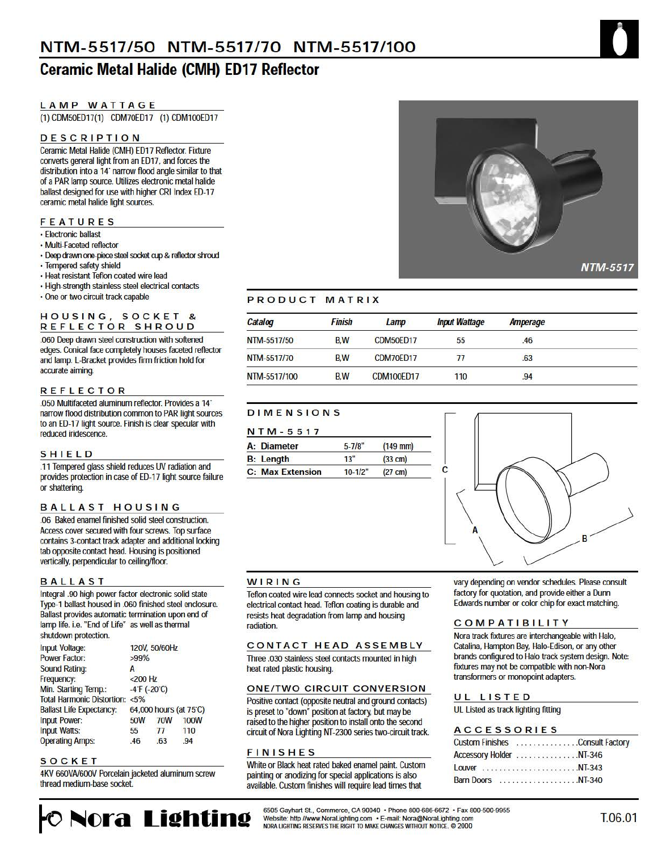# **Ceramic Metal Halide (CMH) ED17 Reflector**

## **LAMP WATTAGE**

(1) CDM50ED17(1) CDM70ED17 (1) CDM100ED17

## **DESCRIPTION**

Ceramic Metal Halide (CMH) ED17 Reflector. Fixture converts general light from an ED17, and forces the distribution into a 14' narrow flood angle similar to that of a PAR lamp source. Utilizes electronic metal halide ballast designed for use with higher CRI Index ED-17 ceramic metal halide light sources.

### **FEATURES**

- · Electronic ballast
- · Multi-Faceted reflector
- · Deep drawn one-piece steel socket cup & reflector shroud
- · Tempered safety shield
- · Heat resistant Teflon coated wire lead
- · High-strength stainless steel electrical contacts
- · One or two circuit track capable

#### HOUSING, SOCKET & REFLECTOR SHROUD

.060 Deep drawn steel construction with softened edges. Conical face completely houses faceted reflector and lamp. L-Bracket provides firm friction hold for accurate aiming.

## **REFLECTOR**

.050 Multifaceted aluminum reflector. Provides a 14" narrow flood distribution common to PAR light sources to an ED-17 light source. Finish is clear specular with reduced iridescence.

### **SHIELD**

.11 Tempered glass shield reduces UV radiation and provides protection in case of ED-17 light source failure or shattering.

## **BALLAST HOUSING**

.06 Baked enamel finished solid steel construction. Access cover secured with four screws. Top surface contains 3-contact track adapter and additional locking tab opposite contact head. Housing is positioned vertically, perpendicular to ceiling/floor.

#### **BALLAST**

Integral .90 high power factor electronic solid state Type-1 ballast housed in .060 finished steel enclosure. Ballast provides automatic termination upon end of lamp life. i.e. "End of Life" as well as thermal shutdown protection.

| Input Voltage:                           |            | 120V, 50/60Hz     |                        |  |  |  |
|------------------------------------------|------------|-------------------|------------------------|--|--|--|
|                                          |            |                   |                        |  |  |  |
| <b>Power Factor:</b>                     | $>99\%$    |                   |                        |  |  |  |
| <b>Sound Rating:</b>                     | A          |                   |                        |  |  |  |
| Frequency:                               |            | $<$ 200 Hz        |                        |  |  |  |
| Min. Starting Temp.:                     |            | $-4$ F ( $-20$ C) |                        |  |  |  |
| <b>Total Harmonic Distortion: &lt;5%</b> |            |                   |                        |  |  |  |
| <b>Ballast Life Expectancy:</b>          |            |                   | 64,000 hours (at 75°C) |  |  |  |
| <b>Input Power:</b>                      | <b>50W</b> | <b>70W</b>        | <b>100W</b>            |  |  |  |
| <b>Input Watts:</b>                      | 55         | 77                | 110                    |  |  |  |
| <b>Operating Amps:</b>                   | .46        | .63               | .94                    |  |  |  |

#### SOCKET

4KV 660VA/600V Porcelain jacketed aluminum screw thread medium-base socket.

**Nora Lighting** 



## PRODUCT MATRIX

| Catalog      | <b>Finish</b> | Lamp              | <b>Input Wattage</b> | Amperage |  |
|--------------|---------------|-------------------|----------------------|----------|--|
| NTM-5517/50  | <b>B.W</b>    | CDM50ED17         | 55                   | .46      |  |
| NTM-5517/70  | <b>B.W</b>    | CDM70ED17         | 77                   | .63      |  |
| NTM-5517/100 | <b>B.W</b>    | <b>CDM100ED17</b> | 110                  | .94      |  |

## **DIMENSIONS**

| N T M - 5 5 1 7         |             |                   |  |  |  |  |
|-------------------------|-------------|-------------------|--|--|--|--|
| A: Diameter             | $5 - 7/8$ " | $(149$ mm)        |  |  |  |  |
| <b>B:</b> Length        | 13"         | $(33 \text{ cm})$ |  |  |  |  |
| <b>C: Max Extension</b> | $10-1/2"$   | $(27 \text{ cm})$ |  |  |  |  |

#### WIRING

Teflon coated wire lead connects socket and housing to electrical contact head. Teflon coating is durable and resists heat degradation from lamp and housing radiation

## CONTACT HEAD ASSEMBLY

Three .030 stainless steel contacts mounted in high heat rated plastic housing.

#### **ONE/TWO CIRCUIT CONVERSION**

Positive contact (opposite neutral and ground contacts) is preset to "down" position at factory, but may be raised to the higher position to install onto the second circuit of Nora Lighting NT-2300 series two-circuit track.

#### **FINISHES**

White or Black heat rated baked enamel paint. Custom painting or anodizing for special applications is also available. Custom finishes will require lead times that



vary depending on vendor schedules. Please consult factory for quotation, and provide either a Dunn Edwards number or color chip for exact matching.

#### **COMPATIBILITY**

Nora track fixtures are interchangeable with Halo, Catalina, Hampton Bay, Halo-Edison, or any other brands configured to Halo track system design. Note: fixtures may not be compatible with non-Nora transformers or monopoint adapters.

#### UL LISTED

UL Listed as track lighting fitting

#### **ACCESSORIES**

| Custom Finishes Consult Factory |  |  |  |  |  |  |  |  |
|---------------------------------|--|--|--|--|--|--|--|--|
| Accessory Holder NT-346         |  |  |  |  |  |  |  |  |
|                                 |  |  |  |  |  |  |  |  |
| <b>Barn Doors</b> NT-340        |  |  |  |  |  |  |  |  |

6505 Gayhart St., Commerce, CA 90040 . Phone 800-686-6672 . Fax 800-500-9955 Website: http //www.NoraLighting.com . E-mail: Nora@NoraLighting.com NORA LIGHTING RESERVES THE RIGHT TO MAKE CHANGES WITHOUT NOTICE. @ 2000